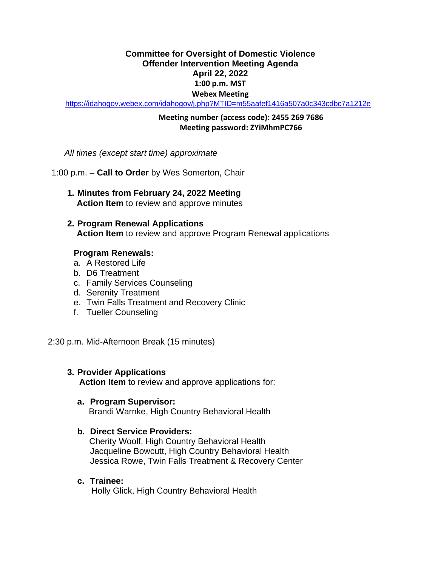# **Committee for Oversight of Domestic Violence Offender Intervention Meeting Agenda April 22, 2022 1:00 p.m. MST Webex Meeting**

<https://idahogov.webex.com/idahogov/j.php?MTID=m55aafef1416a507a0c343cdbc7a1212e>

# **Meeting number (access code): 2455 269 7686 Meeting password: ZYiMhmPC766**

*All times (except start time) approximate*

1:00 p.m. **– Call to Order** by Wes Somerton, Chair

- **1. Minutes from February 24, 2022 Meeting Action Item** to review and approve minutes
- **2. Program Renewal Applications Action Item** to review and approve Program Renewal applications

# **Program Renewals:**

- a. A Restored Life
- b. D6 Treatment
- c. Family Services Counseling
- d. Serenity Treatment
- e. Twin Falls Treatment and Recovery Clinic
- f. Tueller Counseling

2:30 p.m. Mid-Afternoon Break (15 minutes)

# **3. Provider Applications**

**Action Item** to review and approve applications for:

# **a. Program Supervisor:**

Brandi Warnke, High Country Behavioral Health

# **b. Direct Service Providers:**

Cherity Woolf, High Country Behavioral Health Jacqueline Bowcutt, High Country Behavioral Health Jessica Rowe, Twin Falls Treatment & Recovery Center

**c. Trainee:**

Holly Glick, High Country Behavioral Health